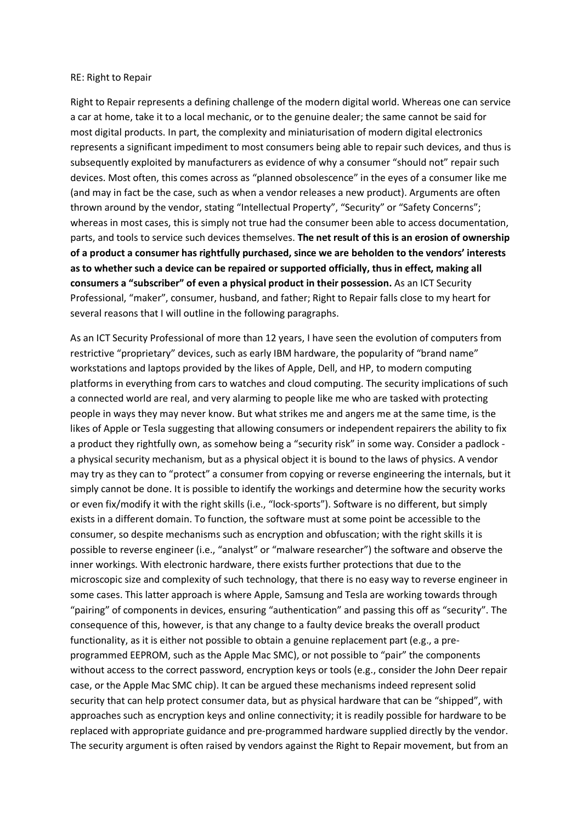## RE: Right to Repair

Right to Repair represents a defining challenge of the modern digital world. Whereas one can service a car at home, take it to a local mechanic, or to the genuine dealer; the same cannot be said for most digital products. In part, the complexity and miniaturisation of modern digital electronics represents a significant impediment to most consumers being able to repair such devices, and thus is subsequently exploited by manufacturers as evidence of why a consumer "should not" repair such devices. Most often, this comes across as "planned obsolescence" in the eyes of a consumer like me (and may in fact be the case, such as when a vendor releases a new product). Arguments are often thrown around by the vendor, stating "Intellectual Property", "Security" or "Safety Concerns"; whereas in most cases, this is simply not true had the consumer been able to access documentation, parts, and tools to service such devices themselves. **The net result of this is an erosion of ownership of a product a consumer has rightfully purchased, since we are beholden to the vendors' interests as to whether such a device can be repaired or supported officially, thus in effect, making all consumers a "subscriber" of even a physical product in their possession.** As an ICT Security Professional, "maker", consumer, husband, and father; Right to Repair falls close to my heart for several reasons that I will outline in the following paragraphs.

As an ICT Security Professional of more than 12 years, I have seen the evolution of computers from restrictive "proprietary" devices, such as early IBM hardware, the popularity of "brand name" workstations and laptops provided by the likes of Apple, Dell, and HP, to modern computing platforms in everything from cars to watches and cloud computing. The security implications of such a connected world are real, and very alarming to people like me who are tasked with protecting people in ways they may never know. But what strikes me and angers me at the same time, is the likes of Apple or Tesla suggesting that allowing consumers or independent repairers the ability to fix a product they rightfully own, as somehow being a "security risk" in some way. Consider a padlock a physical security mechanism, but as a physical object it is bound to the laws of physics. A vendor may try as they can to "protect" a consumer from copying or reverse engineering the internals, but it simply cannot be done. It is possible to identify the workings and determine how the security works or even fix/modify it with the right skills (i.e., "lock-sports"). Software is no different, but simply exists in a different domain. To function, the software must at some point be accessible to the consumer, so despite mechanisms such as encryption and obfuscation; with the right skills it is possible to reverse engineer (i.e., "analyst" or "malware researcher") the software and observe the inner workings. With electronic hardware, there exists further protections that due to the microscopic size and complexity of such technology, that there is no easy way to reverse engineer in some cases. This latter approach is where Apple, Samsung and Tesla are working towards through "pairing" of components in devices, ensuring "authentication" and passing this off as "security". The consequence of this, however, is that any change to a faulty device breaks the overall product functionality, as it is either not possible to obtain a genuine replacement part (e.g., a preprogrammed EEPROM, such as the Apple Mac SMC), or not possible to "pair" the components without access to the correct password, encryption keys or tools (e.g., consider the John Deer repair case, or the Apple Mac SMC chip). It can be argued these mechanisms indeed represent solid security that can help protect consumer data, but as physical hardware that can be "shipped", with approaches such as encryption keys and online connectivity; it is readily possible for hardware to be replaced with appropriate guidance and pre-programmed hardware supplied directly by the vendor. The security argument is often raised by vendors against the Right to Repair movement, but from an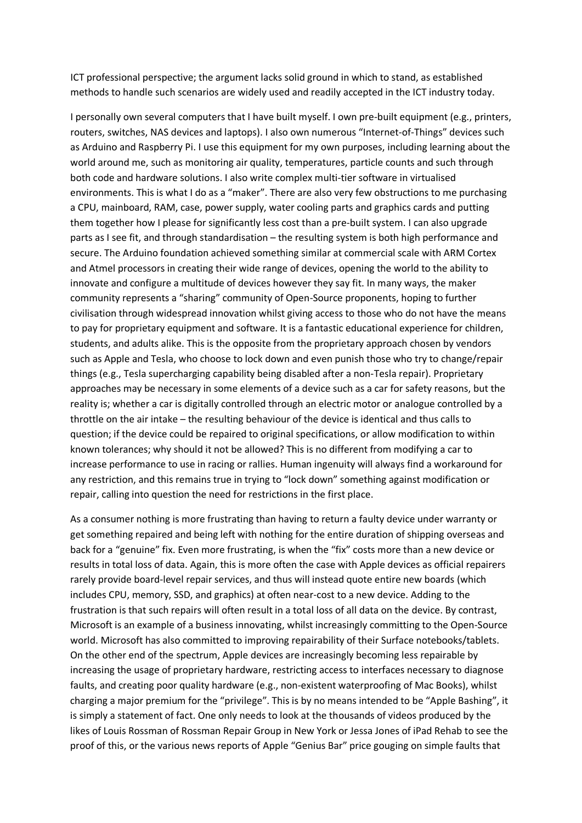ICT professional perspective; the argument lacks solid ground in which to stand, as established methods to handle such scenarios are widely used and readily accepted in the ICT industry today.

I personally own several computers that I have built myself. I own pre-built equipment (e.g., printers, routers, switches, NAS devices and laptops). I also own numerous "Internet-of-Things" devices such as Arduino and Raspberry Pi. I use this equipment for my own purposes, including learning about the world around me, such as monitoring air quality, temperatures, particle counts and such through both code and hardware solutions. I also write complex multi-tier software in virtualised environments. This is what I do as a "maker". There are also very few obstructions to me purchasing a CPU, mainboard, RAM, case, power supply, water cooling parts and graphics cards and putting them together how I please for significantly less cost than a pre-built system. I can also upgrade parts as I see fit, and through standardisation – the resulting system is both high performance and secure. The Arduino foundation achieved something similar at commercial scale with ARM Cortex and Atmel processors in creating their wide range of devices, opening the world to the ability to innovate and configure a multitude of devices however they say fit. In many ways, the maker community represents a "sharing" community of Open-Source proponents, hoping to further civilisation through widespread innovation whilst giving access to those who do not have the means to pay for proprietary equipment and software. It is a fantastic educational experience for children, students, and adults alike. This is the opposite from the proprietary approach chosen by vendors such as Apple and Tesla, who choose to lock down and even punish those who try to change/repair things (e.g., Tesla supercharging capability being disabled after a non-Tesla repair). Proprietary approaches may be necessary in some elements of a device such as a car for safety reasons, but the reality is; whether a car is digitally controlled through an electric motor or analogue controlled by a throttle on the air intake – the resulting behaviour of the device is identical and thus calls to question; if the device could be repaired to original specifications, or allow modification to within known tolerances; why should it not be allowed? This is no different from modifying a car to increase performance to use in racing or rallies. Human ingenuity will always find a workaround for any restriction, and this remains true in trying to "lock down" something against modification or repair, calling into question the need for restrictions in the first place.

As a consumer nothing is more frustrating than having to return a faulty device under warranty or get something repaired and being left with nothing for the entire duration of shipping overseas and back for a "genuine" fix. Even more frustrating, is when the "fix" costs more than a new device or results in total loss of data. Again, this is more often the case with Apple devices as official repairers rarely provide board-level repair services, and thus will instead quote entire new boards (which includes CPU, memory, SSD, and graphics) at often near-cost to a new device. Adding to the frustration is that such repairs will often result in a total loss of all data on the device. By contrast, Microsoft is an example of a business innovating, whilst increasingly committing to the Open-Source world. Microsoft has also committed to improving repairability of their Surface notebooks/tablets. On the other end of the spectrum, Apple devices are increasingly becoming less repairable by increasing the usage of proprietary hardware, restricting access to interfaces necessary to diagnose faults, and creating poor quality hardware (e.g., non-existent waterproofing of Mac Books), whilst charging a major premium for the "privilege". This is by no means intended to be "Apple Bashing", it is simply a statement of fact. One only needs to look at the thousands of videos produced by the likes of Louis Rossman of Rossman Repair Group in New York or Jessa Jones of iPad Rehab to see the proof of this, or the various news reports of Apple "Genius Bar" price gouging on simple faults that